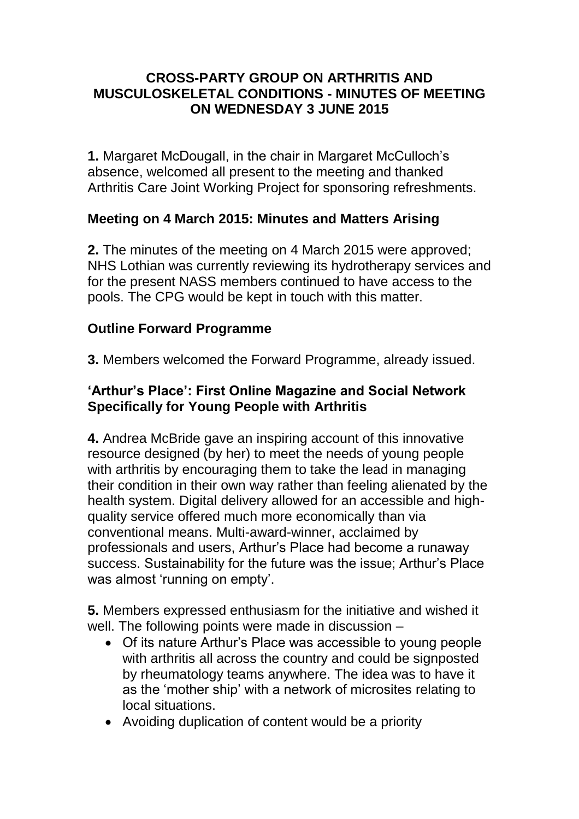#### **CROSS-PARTY GROUP ON ARTHRITIS AND MUSCULOSKELETAL CONDITIONS - MINUTES OF MEETING ON WEDNESDAY 3 JUNE 2015**

**1.** Margaret McDougall, in the chair in Margaret McCulloch's absence, welcomed all present to the meeting and thanked Arthritis Care Joint Working Project for sponsoring refreshments.

# **Meeting on 4 March 2015: Minutes and Matters Arising**

**2.** The minutes of the meeting on 4 March 2015 were approved; NHS Lothian was currently reviewing its hydrotherapy services and for the present NASS members continued to have access to the pools. The CPG would be kept in touch with this matter.

# **Outline Forward Programme**

**3.** Members welcomed the Forward Programme, already issued.

### **'Arthur's Place': First Online Magazine and Social Network Specifically for Young People with Arthritis**

**4.** Andrea McBride gave an inspiring account of this innovative resource designed (by her) to meet the needs of young people with arthritis by encouraging them to take the lead in managing their condition in their own way rather than feeling alienated by the health system. Digital delivery allowed for an accessible and highquality service offered much more economically than via conventional means. Multi-award-winner, acclaimed by professionals and users, Arthur's Place had become a runaway success. Sustainability for the future was the issue; Arthur's Place was almost 'running on empty'.

**5.** Members expressed enthusiasm for the initiative and wished it well. The following points were made in discussion –

- Of its nature Arthur's Place was accessible to young people with arthritis all across the country and could be signposted by rheumatology teams anywhere. The idea was to have it as the 'mother ship' with a network of microsites relating to local situations.
- Avoiding duplication of content would be a priority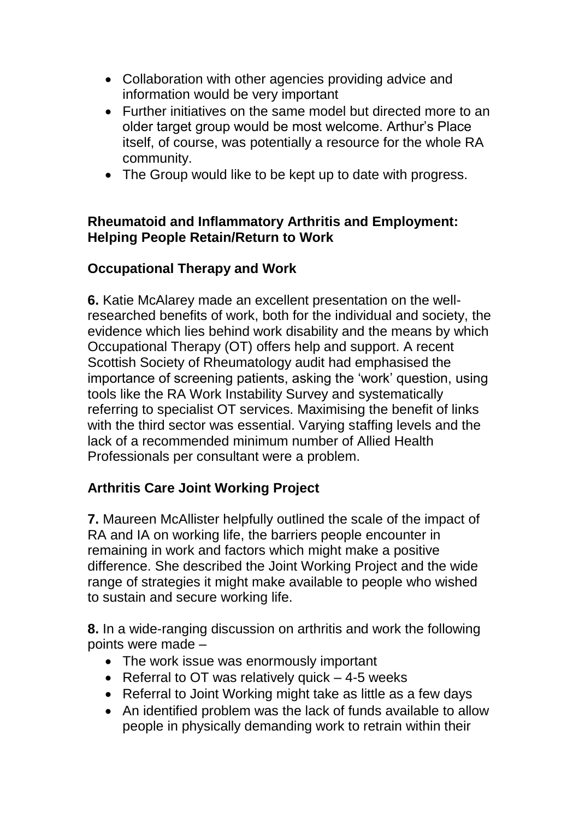- Collaboration with other agencies providing advice and information would be very important
- Further initiatives on the same model but directed more to an older target group would be most welcome. Arthur's Place itself, of course, was potentially a resource for the whole RA community.
- The Group would like to be kept up to date with progress.

### **Rheumatoid and Inflammatory Arthritis and Employment: Helping People Retain/Return to Work**

# **Occupational Therapy and Work**

**6.** Katie McAlarey made an excellent presentation on the wellresearched benefits of work, both for the individual and society, the evidence which lies behind work disability and the means by which Occupational Therapy (OT) offers help and support. A recent Scottish Society of Rheumatology audit had emphasised the importance of screening patients, asking the 'work' question, using tools like the RA Work Instability Survey and systematically referring to specialist OT services. Maximising the benefit of links with the third sector was essential. Varying staffing levels and the lack of a recommended minimum number of Allied Health Professionals per consultant were a problem.

# **Arthritis Care Joint Working Project**

**7.** Maureen McAllister helpfully outlined the scale of the impact of RA and IA on working life, the barriers people encounter in remaining in work and factors which might make a positive difference. She described the Joint Working Project and the wide range of strategies it might make available to people who wished to sustain and secure working life.

**8.** In a wide-ranging discussion on arthritis and work the following points were made –

- The work issue was enormously important
- Referral to OT was relatively quick  $-4-5$  weeks
- Referral to Joint Working might take as little as a few days
- An identified problem was the lack of funds available to allow people in physically demanding work to retrain within their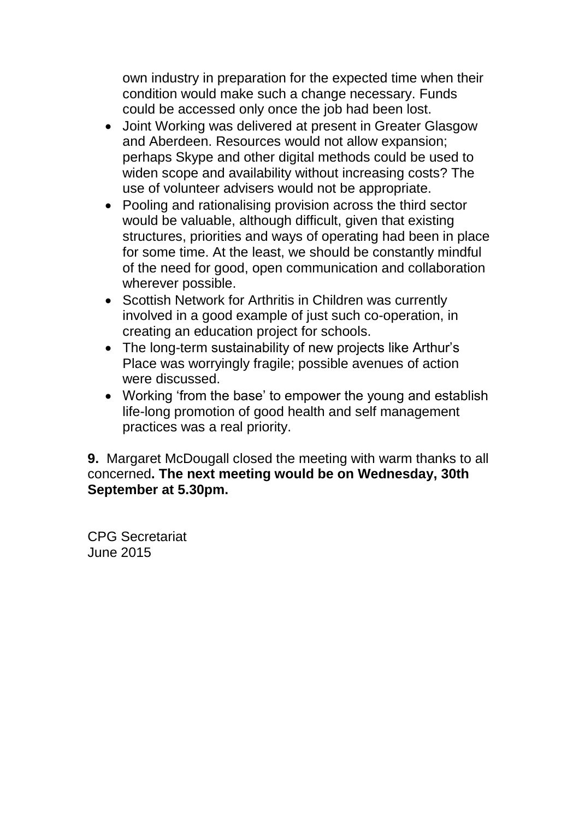own industry in preparation for the expected time when their condition would make such a change necessary. Funds could be accessed only once the job had been lost.

- Joint Working was delivered at present in Greater Glasgow and Aberdeen. Resources would not allow expansion; perhaps Skype and other digital methods could be used to widen scope and availability without increasing costs? The use of volunteer advisers would not be appropriate.
- Pooling and rationalising provision across the third sector would be valuable, although difficult, given that existing structures, priorities and ways of operating had been in place for some time. At the least, we should be constantly mindful of the need for good, open communication and collaboration wherever possible.
- Scottish Network for Arthritis in Children was currently involved in a good example of just such co-operation, in creating an education project for schools.
- The long-term sustainability of new projects like Arthur's Place was worryingly fragile; possible avenues of action were discussed.
- Working 'from the base' to empower the young and establish life-long promotion of good health and self management practices was a real priority.

**9.** Margaret McDougall closed the meeting with warm thanks to all concerned**. The next meeting would be on Wednesday, 30th September at 5.30pm.**

CPG Secretariat June 2015